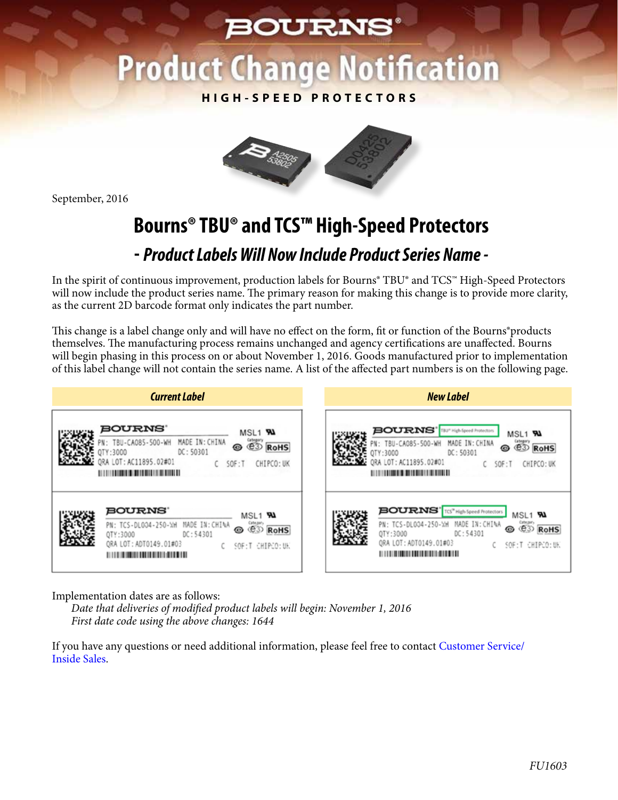### **BOURNS®**

# **Product Change Notification**

**HIGH-SPEED PROTECTORS**



September, 2016

## **Bourns® TBU® and TCS™ High-Speed Protectors**

#### **-** *Product Labels Will Now Include Product Series Name -*

In the spirit of continuous improvement, production labels for Bourns® TBU® and TCS™ High-Speed Protectors will now include the product series name. The primary reason for making this change is to provide more clarity, as the current 2D barcode format only indicates the part number.

This change is a label change only and will have no effect on the form, fit or function of the Bourns®products themselves. The manufacturing process remains unchanged and agency certifications are unaffected. Bourns will begin phasing in this process on or about November 1, 2016. Goods manufactured prior to implementation of this label change will not contain the series name. A list of the affected part numbers is on the following page.

| <b>Current Label</b>               | <b>New Label</b>                         |
|------------------------------------|------------------------------------------|
| <b>BOURNS</b>                      | <b>BOURNS'</b> BUT High-Speed Protection |
| MSL1 <b>RA</b>                     | MSL1 <b>PAL</b>                          |
| $\overset{\text{trig}}{\text{CD}}$ | <b>GREST</b>                             |
| MADE IN: CHINA                     | MADE IN: CHINA                           |
| N: TBU-CA085-500-WH                | PN: TBU-CA085-500-WH                     |
| ◉                                  | ⊛                                        |
| <b>RoHS</b>                        | <b>RoHS</b>                              |
| DC: 50301                          | DC: 50301                                |
| OTY:3000                           | OTY:3000                                 |
| ORA LOT: AC11895.02#01             | ORA LOT: AC11895.02#01                   |
| SOF: T                             | CHIPCO: UK                               |
| CHIPCO: UK                         | SOF: T                                   |
|                                    |                                          |
| BOURNS'                            | <b>BOURNS'</b> TG" High-Speed Protectors |
| MSL1 5AM                           | MSL1 <b>RA</b>                           |
| MADE IN: CHINA                     | conser)<br>CD                            |
| (ateau)<br>(C3)                    | MADE IN: CHINA                           |
| PN: TCS-DL004-250-WH               | PN: TCS-DL004-250-WH                     |
| ◉                                  | ⊛                                        |
| <b>RoHS</b>                        | <b>RoHS</b>                              |
| DC: 54301                          | DC: 54301                                |
| QTY:3000                           | QTY:3000                                 |
| QRA LOT: ADT0149.01#03             | QRA LOT: ADT0149.01#03                   |
| C SOF:T CHIPCO:UK                  | C SOF: T CHIPCO: UK                      |
|                                    |                                          |

Implementation dates are as follows:

*Date that deliveries of modified product labels will begin: November 1, 2016 First date code using the above changes: 1644*

[If you have any questions or need additional information, please feel free to contact Customer Service/](http://www.bourns.com/support/contact)  Inside Sales.